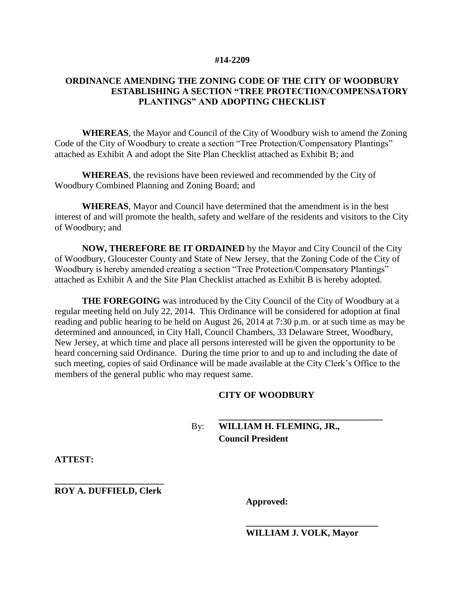#### **#14-2209**

## **ORDINANCE AMENDING THE ZONING CODE OF THE CITY OF WOODBURY ESTABLISHING A SECTION "TREE PROTECTION/COMPENSATORY PLANTINGS" AND ADOPTING CHECKLIST**

**WHEREAS**, the Mayor and Council of the City of Woodbury wish to amend the Zoning Code of the City of Woodbury to create a section "Tree Protection/Compensatory Plantings" attached as Exhibit A and adopt the Site Plan Checklist attached as Exhibit B; and

**WHEREAS**, the revisions have been reviewed and recommended by the City of Woodbury Combined Planning and Zoning Board; and

**WHEREAS**, Mayor and Council have determined that the amendment is in the best interest of and will promote the health, safety and welfare of the residents and visitors to the City of Woodbury; and

**NOW, THEREFORE BE IT ORDAINED** by the Mayor and City Council of the City of Woodbury, Gloucester County and State of New Jersey, that the Zoning Code of the City of Woodbury is hereby amended creating a section "Tree Protection/Compensatory Plantings" attached as Exhibit A and the Site Plan Checklist attached as Exhibit B is hereby adopted.

**THE FOREGOING** was introduced by the City Council of the City of Woodbury at a regular meeting held on July 22, 2014. This Ordinance will be considered for adoption at final reading and public hearing to be held on August 26, 2014 at 7:30 p.m. or at such time as may be determined and announced, in City Hall, Council Chambers, 33 Delaware Street, Woodbury, New Jersey, at which time and place all persons interested will be given the opportunity to be heard concerning said Ordinance. During the time prior to and up to and including the date of such meeting, copies of said Ordinance will be made available at the City Clerk's Office to the members of the general public who may request same.

## **CITY OF WOODBURY**

# By: **WILLIAM H. FLEMING, JR., Council President**

**ATTEST:**

**\_\_\_\_\_\_\_\_\_\_\_\_\_\_\_\_\_\_\_\_\_\_\_\_ ROY A. DUFFIELD, Clerk**

**Approved:**

**WILLIAM J. VOLK, Mayor**

**\_\_\_\_\_\_\_\_\_\_\_\_\_\_\_\_\_\_\_\_\_\_\_\_\_\_\_\_\_**

**\_\_\_\_\_\_\_\_\_\_\_\_\_\_\_\_\_\_\_\_\_\_\_\_\_\_\_\_\_\_\_\_\_\_\_\_**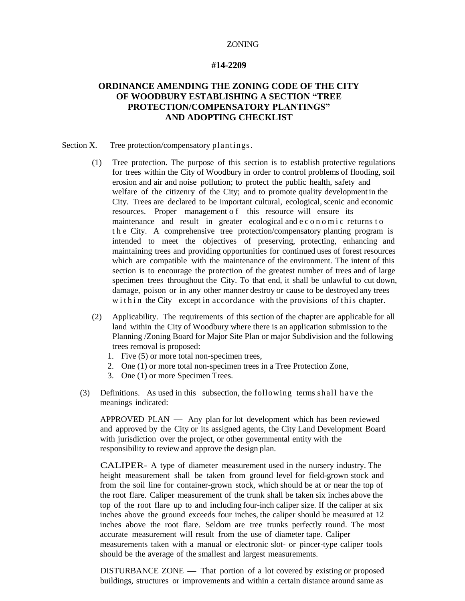#### **#14-2209**

# **ORDINANCE AMENDING THE ZONING CODE OF THE CITY OF WOODBURY ESTABLISHING A SECTION "TREE PROTECTION/COMPENSATORY PLANTINGS" AND ADOPTING CHECKLIST**

#### Section X. Tree protection/compensatory plantings.

- (1) Tree protection. The purpose of this section is to establish protective regulations for trees within the City of Woodbury in order to control problems of flooding, soil erosion and air and noise pollution; to protect the public health, safety and welfare of the citizenry of the City; and to promote quality development in the City. Trees are declared to be important cultural, ecological, scenic and economic resources. Proper management of this resource will ensure its maintenance and result in greater ecological and e c o n o m i c returns to t h e City. A comprehensive tree protection/compensatory planting program is intended to meet the objectives of preserving, protecting, enhancing and maintaining trees and providing opportunities for continued uses of forest resources which are compatible with the maintenance of the environment. The intent of this section is to encourage the protection of the greatest number of trees and of large specimen trees throughout the City. To that end, it shall be unlawful to cut down, damage, poison or in any other manner destroy or cause to be destroyed any trees w it h in the City except in accordance with the provisions of this chapter.
- (2) Applicability. The requirements of this section of the chapter are applicable for all land within the City of Woodbury where there is an application submission to the Planning /Zoning Board for Major Site Plan or major Subdivision and the following trees removal is proposed:
	- 1. Five (5) or more total non-specimen trees,
	- 2. One (1) or more total non-specimen trees in a Tree Protection Zone,
	- 3. One (1) or more Specimen Trees.
- (3) Definitions. As used in this subsection, the following terms shall have the meanings indicated:

 $APPROVED$  PLAN  $-$  Any plan for lot development which has been reviewed and approved by the City or its assigned agents, the City Land Development Board with jurisdiction over the project, or other governmental entity with the responsibility to review and approve the design plan.

CALIPER- A type of diameter measurement used in the nursery industry. The height measurement shall be taken from ground level for field-grown stock and from the soil line for container-grown stock, which should be at or near the top of the root flare. Caliper measurement of the trunk shall be taken six inches above the top of the root flare up to and including four-inch caliper size. If the caliper at six inches above the ground exceeds four inches, the caliper should be measured at 12 inches above the root flare. Seldom are tree trunks perfectly round. The most accurate measurement will result from the use of diameter tape. Caliper measurements taken with a manual or electronic slot- or pincer-type caliper tools should be the average of the smallest and largest measurements.

 $DISTURBANCE ZONE$  - That portion of a lot covered by existing or proposed buildings, structures or improvements and within a certain distance around same as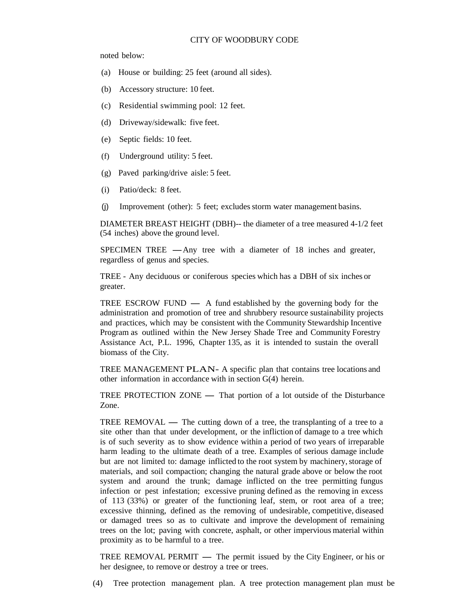#### CITY OF WOODBURY CODE

noted below:

- (a) House or building: 25 feet (around all sides).
- (b) Accessory structure: 10 feet.
- (c) Residential swimming pool: 12 feet.
- (d) Driveway/sidewalk: five feet.
- (e) Septic fields: 10 feet.
- (f) Underground utility: 5 feet.
- (g) Paved parking/drive aisle: 5 feet.
- (i) Patio/deck: 8 feet.
- (j) Improvement (other): 5 feet; excludes storm water management basins.

DIAMETER BREAST HEIGHT (DBH)-- the diameter of a tree measured 4-1/2 feet (54 inches) above the ground level.

SPECIMEN TREE - Any tree with a diameter of 18 inches and greater, regardless of genus and species.

TREE - Any deciduous or coniferous species which has a DBH of six inches or greater.

TREE ESCROW FUND  $-$  A fund established by the governing body for the administration and promotion of tree and shrubbery resource sustainability projects and practices, which may be consistent with the Community Stewardship Incentive Program as outlined within the New Jersey Shade Tree and Community Forestry Assistance Act, P.L. 1996, Chapter 135, as it is intended to sustain the overall biomass of the City.

TREE MANAGEMENT PLAN- A specific plan that contains tree locations and other information in accordance with in section G(4) herein.

TREE PROTECTION ZONE — That portion of a lot outside of the Disturbance Zone.

TREE REMOVAL  $-$  The cutting down of a tree, the transplanting of a tree to a site other than that under development, or the infliction of damage to a tree which is of such severity as to show evidence within a period of two years of irreparable harm leading to the ultimate death of a tree. Examples of serious damage include but are not limited to: damage inflicted to the root system by machinery, storage of materials, and soil compaction; changing the natural grade above or below the root system and around the trunk; damage inflicted on the tree permitting fungus infection or pest infestation; excessive pruning defined as the removing in excess of 113 (33%) or greater of the functioning leaf, stem, or root area of a tree; excessive thinning, defined as the removing of undesirable, competitive, diseased or damaged trees so as to cultivate and improve the development of remaining trees on the lot; paving with concrete, asphalt, or other impervious material within proximity as to be harmful to a tree.

TREE REMOVAL PERMIT — The permit issued by the City Engineer, or his or her designee, to remove or destroy a tree or trees.

(4) Tree protection management plan. A tree protection management plan must be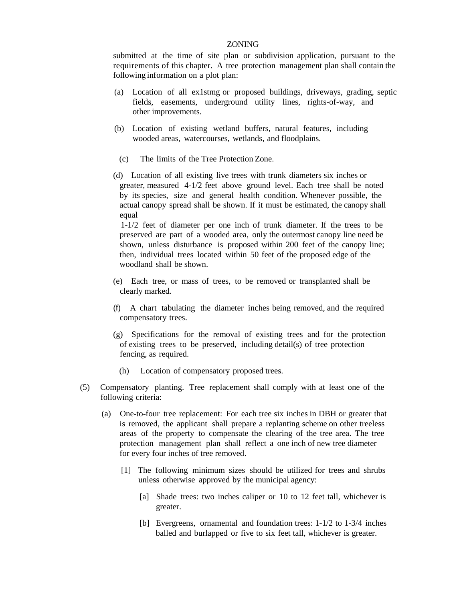submitted at the time of site plan or subdivision application, pursuant to the requirements of this chapter. A tree protection management plan shall contain the following information on a plot plan:

- (a) Location of all ex1stmg or proposed buildings, driveways, grading, septic fields, easements, underground utility lines, rights-of-way, and other improvements.
- (b) Location of existing wetland buffers, natural features, including wooded areas, watercourses, wetlands, and floodplains.
	- (c) The limits of the Tree Protection Zone.
- (d) Location of all existing live trees with trunk diameters six inches or greater, measured 4-1/2 feet above ground level. Each tree shall be noted by its species, size and general health condition. Whenever possible, the actual canopy spread shall be shown. If it must be estimated, the canopy shall equal

1-1/2 feet of diameter per one inch of trunk diameter. If the trees to be preserved are part of a wooded area, only the outermost canopy line need be shown, unless disturbance is proposed within 200 feet of the canopy line; then, individual trees located within 50 feet of the proposed edge of the woodland shall be shown.

- (e) Each tree, or mass of trees, to be removed or transplanted shall be clearly marked.
- (f) A chart tabulating the diameter inches being removed, and the required compensatory trees.
- (g) Specifications for the removal of existing trees and for the protection of existing trees to be preserved, including detail(s) of tree protection fencing, as required.
	- (h) Location of compensatory proposed trees.
- (5) Compensatory planting. Tree replacement shall comply with at least one of the following criteria:
	- (a) One-to-four tree replacement: For each tree six inches in DBH or greater that is removed, the applicant shall prepare a replanting scheme on other treeless areas of the property to compensate the clearing of the tree area. The tree protection management plan shall reflect a one inch of new tree diameter for every four inches of tree removed.
		- [1] The following minimum sizes should be utilized for trees and shrubs unless otherwise approved by the municipal agency:
			- [a] Shade trees: two inches caliper or 10 to 12 feet tall, whichever is greater.
			- [b] Evergreens, ornamental and foundation trees: 1-1/2 to 1-3/4 inches balled and burlapped or five to six feet tall, whichever is greater.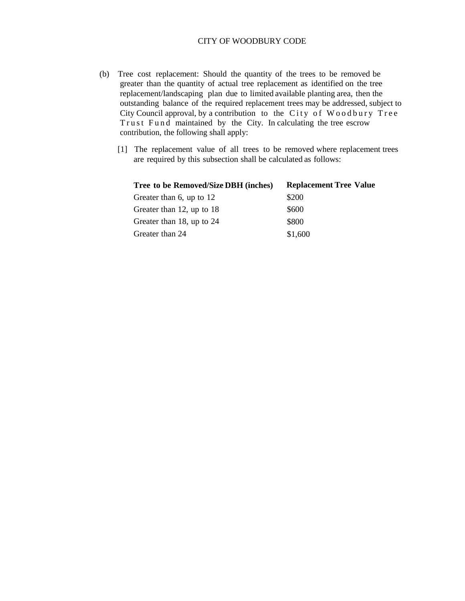## CITY OF WOODBURY CODE

- (b) Tree cost replacement: Should the quantity of the trees to be removed be greater than the quantity of actual tree replacement as identified on the tree replacement/landscaping plan due to limited available planting area, then the outstanding balance of the required replacement trees may be addressed, subject to City Council approval, by a contribution to the City of Woodbury Tree Trust Fund maintained by the City. In calculating the tree escrow contribution, the following shall apply:
	- [1] The replacement value of all trees to be removed where replacement trees are required by this subsection shall be calculated as follows:

| Tree to be Removed/Size DBH (inches) | <b>Replacement Tree Value</b> |
|--------------------------------------|-------------------------------|
| Greater than 6, up to 12             | \$200                         |
| Greater than 12, up to 18            | \$600                         |
| Greater than 18, up to 24            | \$800                         |
| Greater than 24                      | \$1,600                       |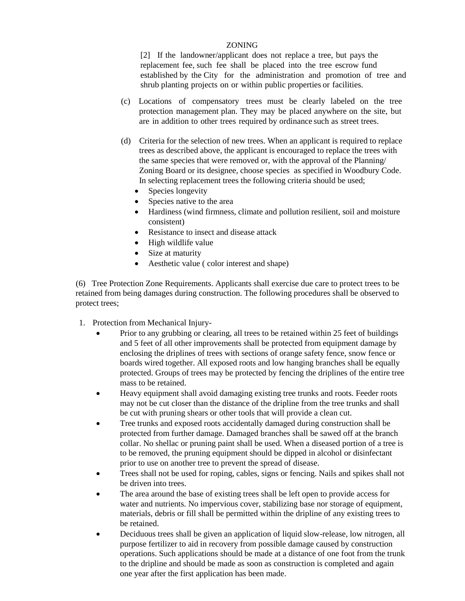[2] If the landowner/applicant does not replace a tree, but pays the replacement fee, such fee shall be placed into the tree escrow fund established by the City for the administration and promotion of tree and shrub planting projects on or within public properties or facilities.

- (c) Locations of compensatory trees must be clearly labeled on the tree protection management plan. They may be placed anywhere on the site, but are in addition to other trees required by ordinance such as street trees.
- (d) Criteria for the selection of new trees. When an applicant is required to replace trees as described above, the applicant is encouraged to replace the trees with the same species that were removed or, with the approval of the Planning/ Zoning Board or its designee, choose species as specified in Woodbury Code. In selecting replacement trees the following criteria should be used;
	- Species longevity
	- Species native to the area
	- Hardiness (wind firmness, climate and pollution resilient, soil and moisture consistent)
	- Resistance to insect and disease attack
	- High wildlife value
	- Size at maturity
	- Aesthetic value ( color interest and shape)

 (6) Tree Protection Zone Requirements. Applicants shall exercise due care to protect trees to be retained from being damages during construction. The following procedures shall be observed to protect trees;

- 1. Protection from Mechanical Injury-
	- Prior to any grubbing or clearing, all trees to be retained within 25 feet of buildings and 5 feet of all other improvements shall be protected from equipment damage by enclosing the driplines of trees with sections of orange safety fence, snow fence or boards wired together. All exposed roots and low hanging branches shall be equally protected. Groups of trees may be protected by fencing the driplines of the entire tree mass to be retained.
	- Heavy equipment shall avoid damaging existing tree trunks and roots. Feeder roots may not be cut closer than the distance of the dripline from the tree trunks and shall be cut with pruning shears or other tools that will provide a clean cut.
	- Tree trunks and exposed roots accidentally damaged during construction shall be protected from further damage. Damaged branches shall be sawed off at the branch collar. No shellac or pruning paint shall be used. When a diseased portion of a tree is to be removed, the pruning equipment should be dipped in alcohol or disinfectant prior to use on another tree to prevent the spread of disease.
	- Trees shall not be used for roping, cables, signs or fencing. Nails and spikes shall not be driven into trees.
	- The area around the base of existing trees shall be left open to provide access for water and nutrients. No impervious cover, stabilizing base nor storage of equipment, materials, debris or fill shall be permitted within the dripline of any existing trees to be retained.
	- Deciduous trees shall be given an application of liquid slow-release, low nitrogen, all purpose fertilizer to aid in recovery from possible damage caused by construction operations. Such applications should be made at a distance of one foot from the trunk to the dripline and should be made as soon as construction is completed and again one year after the first application has been made.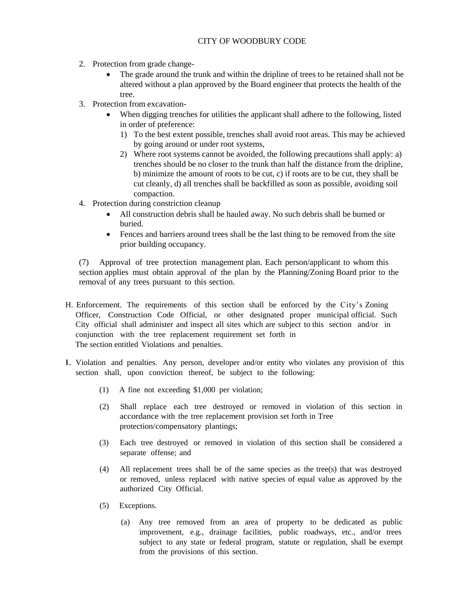## CITY OF WOODBURY CODE

- 2. Protection from grade change-
	- The grade around the trunk and within the dripline of trees to be retained shall not be altered without a plan approved by the Board engineer that protects the health of the tree.
- 3. Protection from excavation-
	- When digging trenches for utilities the applicant shall adhere to the following, listed in order of preference:
		- 1) To the best extent possible, trenches shall avoid root areas. This may be achieved by going around or under root systems,
		- 2) Where root systems cannot be avoided, the following precautions shall apply: a) trenches should be no closer to the trunk than half the distance from the dripline, b) minimize the amount of roots to be cut, c) if roots are to be cut, they shall be cut cleanly, d) all trenches shall be backfilled as soon as possible, avoiding soil compaction.
- 4. Protection during constriction cleanup
	- All construction debris shall be hauled away. No such debris shall be burned or buried.
	- Fences and barriers around trees shall be the last thing to be removed from the site prior building occupancy.

(7) Approval of tree protection management plan. Each person/applicant to whom this section applies must obtain approval of the plan by the Planning/Zoning Board prior to the removal of any trees pursuant to this section.

- H. Enforcement. The requirements of this section shall be enforced by the City's Zoning Officer, Construction Code Official, or other designated proper municipal official. Such City official shall administer and inspect all sites which are subject to this section and/or in conjunction with the tree replacement requirement set forth in The section entitled Violations and penalties.
- I. Violation and penalties. Any person, developer and/or entity who violates any provision of this section shall, upon conviction thereof, be subject to the following:
	- (1) A fine not exceeding \$1,000 per violation;
	- (2) Shall replace each tree destroyed or removed in violation of this section in accordance with the tree replacement provision set forth in Tree protection/compensatory plantings;
	- (3) Each tree destroyed or removed in violation of this section shall be considered a separate offense; and
	- (4) All replacement trees shall be of the same species as the tree(s) that was destroyed or removed, unless replaced with native species of equal value as approved by the authorized City Official.
	- (5) Exceptions.
		- (a) Any tree removed from an area of property to be dedicated as public improvement, e.g., drainage facilities, public roadways, etc., and/or trees subject to any state or federal program, statute or regulation, shall be exempt from the provisions of this section.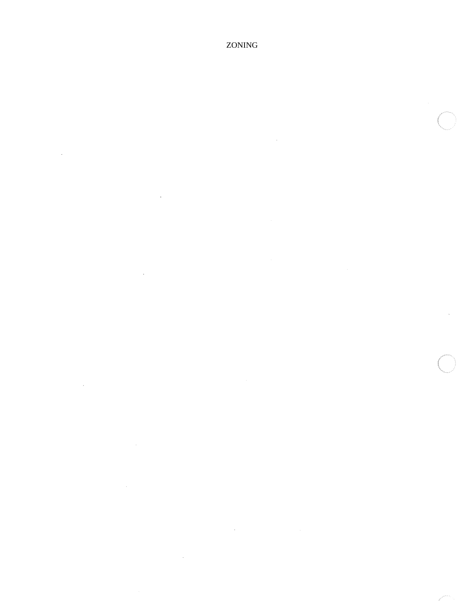$\bar{\mathcal{A}}$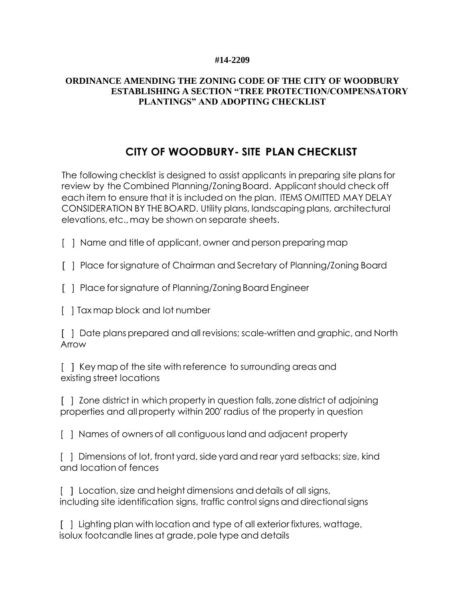## **#14-2209**

# **ORDINANCE AMENDING THE ZONING CODE OF THE CITY OF WOODBURY ESTABLISHING A SECTION "TREE PROTECTION/COMPENSATORY PLANTINGS" AND ADOPTING CHECKLIST**

# **CITY OF WOODBURY- SITE PLAN CHECKLIST**

The following checklist is designed to assist applicants in preparing site plansfor review by the Combined Planning/ZoningBoard. Applicant should check off each item to ensure that it is included on the plan. ITEMS OMITTED MAY DELAY CONSIDERATION BY THE BOARD. Utility plans, landscaping plans, architectural elevations,etc.,may be shown on separate sheets.

[ ] Name and title of applicant, owner and person preparing map

[ ] Place forsignature of Chairman and Secretary of Planning/Zoning Board

[ ] Place for signature of Planning/Zoning Board Engineer

[ ] Tax map block and lot number

[ ] Date plans prepared and all revisions; scale-written and graphic, and North Arrow

[ ] Key map of the site with reference to surrounding areas and existing street locations

[ ] Zone district in which property in question falls, zone district of adjoining properties and all property within 200' radius of the property in question

[ ] Names of ownersof all contiguous land and adjacent property

[ ] Dimensions of lot, front yard, side yard and rear yard setbacks; size, kind and location of fences

[ ] Location, size and height dimensions and details of all signs, including site identification signs, traffic control signs and directionalsigns

[ ] Lighting plan with location and type of all exterior fixtures, wattage, isolux footcandle lines at grade,pole type and details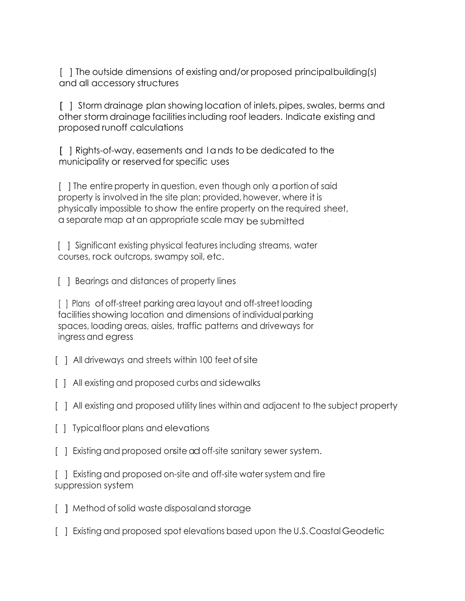[ ] The outside dimensions of existing and/or proposed principalbuilding(s) and all accessory structures

[ ] Storm drainage plan showing location of inlets, pipes, swales, berms and other storm drainage facilities including roof leaders. Indicate existing and proposed runoff calculations

[ ] Rights-of-way, easements and l ands to be dedicated to the municipality or reserved for specific uses

[ ] The entire property in question, even though only a portion of said property is involved in the site plan; provided, however, where it is physically impossible to show the entire property on the required sheet, a separate map at an appropriate scale may be submitted ·

[ ] Significant existing physical features including streams, water courses, rock outcrops, swampy soil, etc.

[  $\vert$  ] Bearings and distances of property lines

[ ] Plans of off-street parking area layout and off-street loading facilities showing location and dimensions of individual parking spaces, loading areas, aisles, traffic patterns and driveways for ingress and egress

[ ] All driveways and streets within 100 feet of site

[ ] All existing and proposed curbs and sidewalks

[ ] All existing and proposed utility lines within and adjacent to the subject property

- [ ] Typical floor plans and elevations
- [ ] Existing and proposed onsite ad off-site sanitary sewer system.

[ ] Existing and proposed on-site and off-site water system and fire suppression system

- [ ] Method of solid waste disposaland storage
- [ ] Existing and proposed spot elevations based upon the U.S.Coastal Geodetic